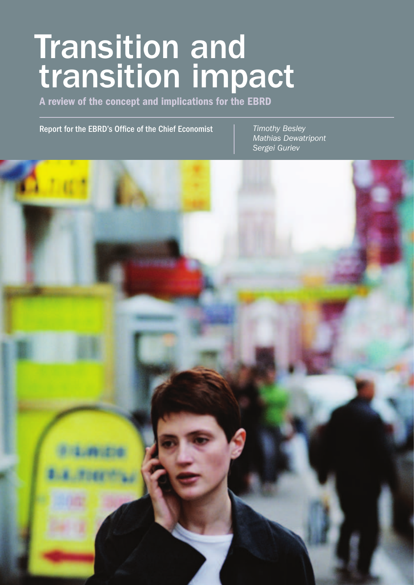# Transition and transition impact

A review of the concept and implications for the EBRD

Report for the EBRD's Office of the Chief Economist *Timothy Besley*

*Mathias Dewatripont Sergei Guriev*

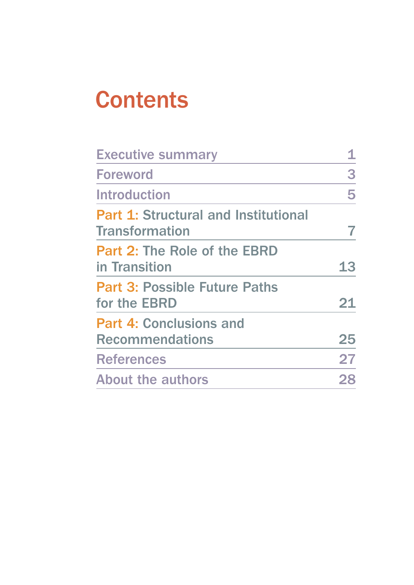## **Contents**

| <b>Executive summary</b>                                             |    |
|----------------------------------------------------------------------|----|
| <b>Foreword</b>                                                      | 3  |
| <b>Introduction</b>                                                  | 5  |
| <b>Part 1: Structural and Institutional</b><br><b>Transformation</b> |    |
| <b>Part 2: The Role of the EBRD</b><br>in Transition                 | 13 |
| <b>Part 3: Possible Future Paths</b><br>for the EBRD                 | 21 |
| <b>Part 4: Conclusions and</b><br><b>Recommendations</b>             | 25 |
| <b>References</b>                                                    | 27 |
| <b>About the authors</b>                                             |    |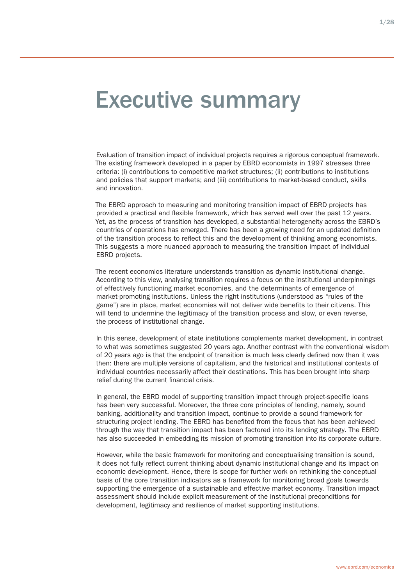### Executive summary

Evaluation of transition impact of individual projects requires a rigorous conceptual framework. The existing framework developed in a paper by EBRD economists in 1997 stresses three criteria: (i) contributions to competitive market structures; (ii) contributions to institutions and policies that support markets; and (iii) contributions to market-based conduct, skills and innovation.

The EBRD approach to measuring and monitoring transition impact of EBRD projects has provided a practical and flexible framework, which has served well over the past 12 years. Yet, as the process of transition has developed, a substantial heterogeneity across the EBRD's countries of operations has emerged. There has been a growing need for an updated definition of the transition process to reflect this and the development of thinking among economists. This suggests a more nuanced approach to measuring the transition impact of individual EBRD projects.

The recent economics literature understands transition as dynamic institutional change. According to this view, analysing transition requires a focus on the institutional underpinnings of effectively functioning market economies, and the determinants of emergence of market-promoting institutions. Unless the right institutions (understood as "rules of the game") are in place, market economies will not deliver wide benefits to their citizens. This will tend to undermine the legitimacy of the transition process and slow, or even reverse, the process of institutional change.

In this sense, development of state institutions complements market development, in contrast to what was sometimes suggested 20 years ago. Another contrast with the conventional wisdom of 20 years ago is that the endpoint of transition is much less clearly defined now than it was then: there are multiple versions of capitalism, and the historical and institutional contexts of individual countries necessarily affect their destinations. This has been brought into sharp relief during the current financial crisis.

In general, the EBRD model of supporting transition impact through project-specific loans has been very successful. Moreover, the three core principles of lending, namely, sound banking, additionality and transition impact, continue to provide a sound framework for structuring project lending. The EBRD has benefited from the focus that has been achieved through the way that transition impact has been factored into its lending strategy. The EBRD has also succeeded in embedding its mission of promoting transition into its corporate culture.

However, while the basic framework for monitoring and conceptualising transition is sound, it does not fully reflect current thinking about dynamic institutional change and its impact on economic development. Hence, there is scope for further work on rethinking the conceptual basis of the core transition indicators as a framework for monitoring broad goals towards supporting the emergence of a sustainable and effective market economy. Transition impact assessment should include explicit measurement of the institutional preconditions for development, legitimacy and resilience of market supporting institutions.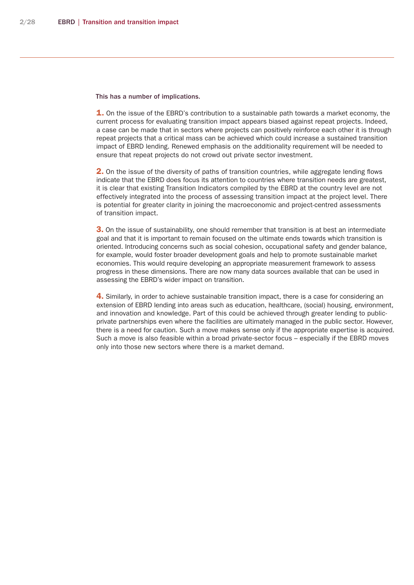This has a number of implications.

**1.** On the issue of the EBRD's contribution to a sustainable path towards a market economy, the current process for evaluating transition impact appears biased against repeat projects. Indeed, a case can be made that in sectors where projects can positively reinforce each other it is through repeat projects that a critical mass can be achieved which could increase a sustained transition impact of EBRD lending. Renewed emphasis on the additionality requirement will be needed to ensure that repeat projects do not crowd out private sector investment.

**2.** On the issue of the diversity of paths of transition countries, while aggregate lending flows indicate that the EBRD does focus its attention to countries where transition needs are greatest, it is clear that existing Transition Indicators compiled by the EBRD at the country level are not effectively integrated into the process of assessing transition impact at the project level. There is potential for greater clarity in joining the macroeconomic and project-centred assessments of transition impact.

**3.** On the issue of sustainability, one should remember that transition is at best an intermediate goal and that it is important to remain focused on the ultimate ends towards which transition is oriented. Introducing concerns such as social cohesion, occupational safety and gender balance, for example, would foster broader development goals and help to promote sustainable market economies. This would require developing an appropriate measurement framework to assess progress in these dimensions. There are now many data sources available that can be used in assessing the EBRD's wider impact on transition.

4. Similarly, in order to achieve sustainable transition impact, there is a case for considering an extension of EBRD lending into areas such as education, healthcare, (social) housing, environment, and innovation and knowledge. Part of this could be achieved through greater lending to publicprivate partnerships even where the facilities are ultimately managed in the public sector. However, there is a need for caution. Such a move makes sense only if the appropriate expertise is acquired. Such a move is also feasible within a broad private-sector focus – especially if the EBRD moves only into those new sectors where there is a market demand.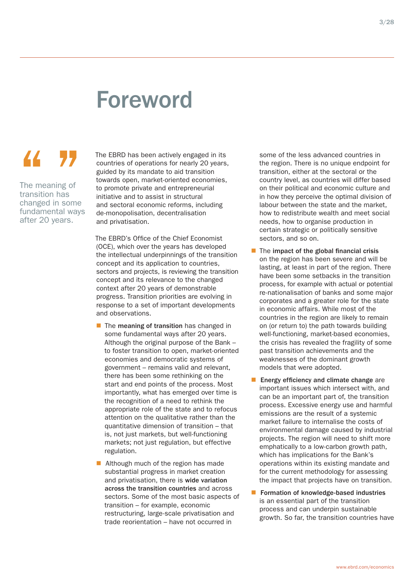### Foreword

### 44 77

The meaning of transition has changed in some fundamental ways after 20 years.

The EBRD has been actively engaged in its countries of operations for nearly 20 years, guided by its mandate to aid transition towards open, market-oriented economies, to promote private and entrepreneurial initiative and to assist in structural and sectoral economic reforms, including de-monopolisation, decentralisation and privatisation.

The EBRD's Office of the Chief Economist (OCE), which over the years has developed the intellectual underpinnings of the transition concept and its application to countries, sectors and projects, is reviewing the transition concept and its relevance to the changed context after 20 years of demonstrable progress. Transition priorities are evolving in response to a set of important developments and observations.

- $\blacksquare$  The meaning of transition has changed in some fundamental ways after 20 years. Although the original purpose of the Bank – to foster transition to open, market-oriented economies and democratic systems of government – remains valid and relevant, there has been some rethinking on the start and end points of the process. Most importantly, what has emerged over time is the recognition of a need to rethink the appropriate role of the state and to refocus attention on the qualitative rather than the quantitative dimension of transition – that is, not just markets, but well-functioning markets; not just regulation, but effective regulation.
- Although much of the region has made substantial progress in market creation and privatisation, there is wide variation across the transition countries and across sectors. Some of the most basic aspects of transition – for example, economic restructuring, large-scale privatisation and trade reorientation – have not occurred in

some of the less advanced countries in the region. There is no unique endpoint for transition, either at the sectoral or the country level, as countries will differ based on their political and economic culture and in how they perceive the optimal division of labour between the state and the market, how to redistribute wealth and meet social needs, how to organise production in certain strategic or politically sensitive sectors, and so on.

- $\blacksquare$  The impact of the global financial crisis on the region has been severe and will be lasting, at least in part of the region. There have been some setbacks in the transition process, for example with actual or potential re-nationalisation of banks and some major corporates and a greater role for the state in economic affairs. While most of the countries in the region are likely to remain on (or return to) the path towards building well-functioning, market-based economies, the crisis has revealed the fragility of some past transition achievements and the weaknesses of the dominant growth models that were adopted.
- **E** Energy efficiency and climate change are important issues which intersect with, and can be an important part of, the transition process. Excessive energy use and harmful emissions are the result of a systemic market failure to internalise the costs of environmental damage caused by industrial projects. The region will need to shift more emphatically to a low-carbon growth path, which has implications for the Bank's operations within its existing mandate and for the current methodology for assessing the impact that projects have on transition.
- **Formation of knowledge-based industries** is an essential part of the transition process and can underpin sustainable growth. So far, the transition countries have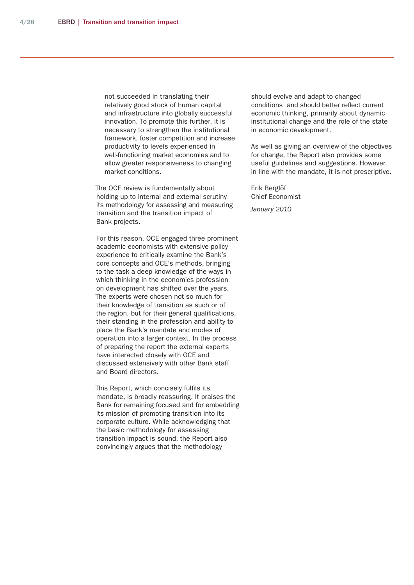not succeeded in translating their relatively good stock of human capital and infrastructure into globally successful innovation. To promote this further, it is necessary to strengthen the institutional framework, foster competition and increase productivity to levels experienced in well-functioning market economies and to allow greater responsiveness to changing market conditions.

The OCE review is fundamentally about holding up to internal and external scrutiny its methodology for assessing and measuring transition and the transition impact of Bank projects.

For this reason, OCE engaged three prominent academic economists with extensive policy experience to critically examine the Bank's core concepts and OCE's methods, bringing to the task a deep knowledge of the ways in which thinking in the economics profession on development has shifted over the years. The experts were chosen not so much for their knowledge of transition as such or of the region, but for their general qualifications, their standing in the profession and ability to place the Bank's mandate and modes of operation into a larger context. In the process of preparing the report the external experts have interacted closely with OCE and discussed extensively with other Bank staff and Board directors.

This Report, which concisely fulfils its mandate, is broadly reassuring. It praises the Bank for remaining focused and for embedding its mission of promoting transition into its corporate culture. While acknowledging that the basic methodology for assessing transition impact is sound, the Report also convincingly argues that the methodology

should evolve and adapt to changed conditions and should better reflect current economic thinking, primarily about dynamic institutional change and the role of the state in economic development.

As well as giving an overview of the objectives for change, the Report also provides some useful guidelines and suggestions. However, in line with the mandate, it is not prescriptive.

Erik Berglöf Chief Economist *January 2010*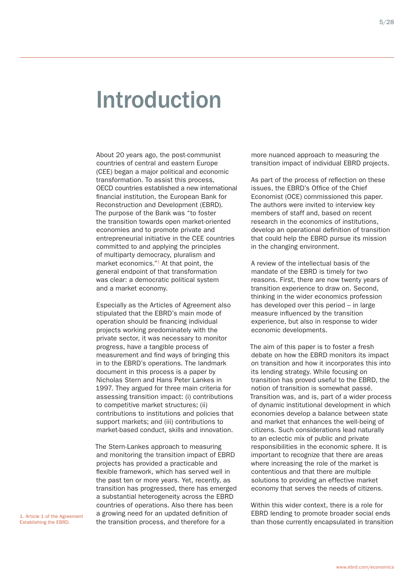### Introduction

About 20 years ago, the post-communist countries of central and eastern Europe (CEE) began a major political and economic transformation. To assist this process, OECD countries established a new international financial institution, the European Bank for Reconstruction and Development (EBRD). The purpose of the Bank was "to foster the transition towards open market-oriented economies and to promote private and entrepreneurial initiative in the CEE countries committed to and applying the principles of multiparty democracy, pluralism and market economics."<sup>1</sup> At that point, the general endpoint of that transformation was clear: a democratic political system and a market economy.

Especially as the Articles of Agreement also stipulated that the EBRD's main mode of operation should be financing individual projects working predominately with the private sector, it was necessary to monitor progress, have a tangible process of measurement and find ways of bringing this in to the EBRD's operations. The landmark document in this process is a paper by Nicholas Stern and Hans Peter Lankes in 1997. They argued for three main criteria for assessing transition impact: (i) contributions to competitive market structures; (ii) contributions to institutions and policies that support markets; and (iii) contributions to market-based conduct, skills and innovation.

The Stern-Lankes approach to measuring and monitoring the transition impact of EBRD projects has provided a practicable and flexible framework, which has served well in the past ten or more years. Yet, recently, as transition has progressed, there has emerged a substantial heterogeneity across the EBRD countries of operations. Also there has been a growing need for an updated definition of the transition process, and therefore for a

more nuanced approach to measuring the transition impact of individual EBRD projects.

As part of the process of reflection on these issues, the EBRD's Office of the Chief Economist (OCE) commissioned this paper. The authors were invited to interview key members of staff and, based on recent research in the economics of institutions, develop an operational definition of transition that could help the EBRD pursue its mission in the changing environment.

A review of the intellectual basis of the mandate of the EBRD is timely for two reasons. First, there are now twenty years of transition experience to draw on. Second, thinking in the wider economics profession has developed over this period – in large measure influenced by the transition experience, but also in response to wider economic developments.

The aim of this paper is to foster a fresh debate on how the EBRD monitors its impact on transition and how it incorporates this into its lending strategy. While focusing on transition has proved useful to the EBRD, the notion of transition is somewhat passé. Transition was, and is, part of a wider process of dynamic institutional development in which economies develop a balance between state and market that enhances the well-being of citizens. Such considerations lead naturally to an eclectic mix of public and private responsibilities in the economic sphere. It is important to recognize that there are areas where increasing the role of the market is contentious and that there are multiple solutions to providing an effective market economy that serves the needs of citizens.

Within this wider context, there is a role for EBRD lending to promote broader social ends than those currently encapsulated in transition

1. Article 1 of the Agreement Establishing the EBRD.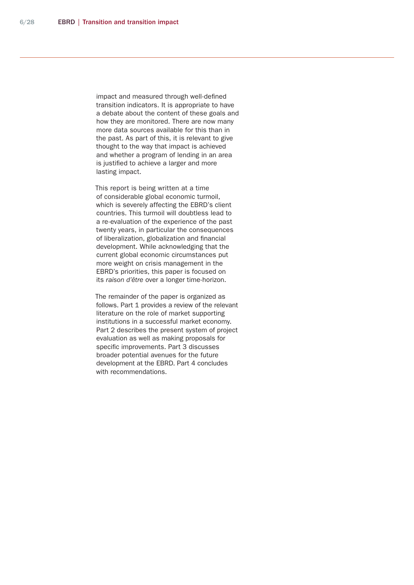impact and measured through well-defined transition indicators. It is appropriate to have a debate about the content of these goals and how they are monitored. There are now many more data sources available for this than in the past. As part of this, it is relevant to give thought to the way that impact is achieved and whether a program of lending in an area is justified to achieve a larger and more lasting impact.

This report is being written at a time of considerable global economic turmoil, which is severely affecting the EBRD's client countries. This turmoil will doubtless lead to a re-evaluation of the experience of the past twenty years, in particular the consequences of liberalization, globalization and financial development. While acknowledging that the current global economic circumstances put more weight on crisis management in the EBRD's priorities, this paper is focused on its *raison d'être* over a longer time-horizon.

The remainder of the paper is organized as follows. Part 1 provides a review of the relevant literature on the role of market supporting institutions in a successful market economy. Part 2 describes the present system of project evaluation as well as making proposals for specific improvements. Part 3 discusses broader potential avenues for the future development at the EBRD. Part 4 concludes with recommendations.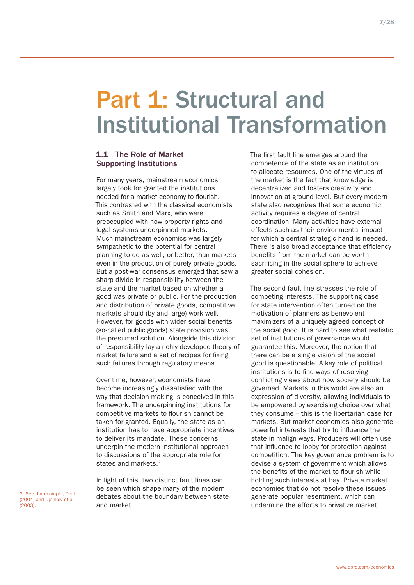### Part 1: Structural and Institutional Transformation

#### 1.1 The Role of Market Supporting Institutions

For many years, mainstream economics largely took for granted the institutions needed for a market economy to flourish. This contrasted with the classical economists such as Smith and Marx, who were preoccupied with how property rights and legal systems underpinned markets. Much mainstream economics was largely sympathetic to the potential for central planning to do as well, or better, than markets even in the production of purely private goods. But a post-war consensus emerged that saw a sharp divide in responsibility between the state and the market based on whether a good was private or public. For the production and distribution of private goods, competitive markets should (by and large) work well. However, for goods with wider social benefits (so-called public goods) state provision was the presumed solution. Alongside this division of responsibility lay a richly developed theory of market failure and a set of recipes for fixing such failures through regulatory means.

Over time, however, economists have become increasingly dissatisfied with the way that decision making is conceived in this framework. The underpinning institutions for competitive markets to flourish cannot be taken for granted. Equally, the state as an institution has to have appropriate incentives to deliver its mandate. These concerns underpin the modern institutional approach to discussions of the appropriate role for states and markets.<sup>2</sup>

In light of this, two distinct fault lines can be seen which shape many of the modern debates about the boundary between state and market.

The first fault line emerges around the competence of the state as an institution to allocate resources. One of the virtues of the market is the fact that knowledge is decentralized and fosters creativity and innovation at ground level. But every modern state also recognizes that some economic activity requires a degree of central coordination. Many activities have external effects such as their environmental impact for which a central strategic hand is needed. There is also broad acceptance that efficiency benefits from the market can be worth sacrificing in the social sphere to achieve greater social cohesion.

The second fault line stresses the role of competing interests. The supporting case for state intervention often turned on the motivation of planners as benevolent maximizers of a uniquely agreed concept of the social good. It is hard to see what realistic set of institutions of governance would guarantee this. Moreover, the notion that there can be a single vision of the social good is questionable. A key role of political institutions is to find ways of resolving conflicting views about how society should be governed. Markets in this world are also an expression of diversity, allowing individuals to be empowered by exercising choice over what they consume – this is the libertarian case for markets. But market economies also generate powerful interests that try to influence the state in malign ways. Producers will often use that influence to lobby for protection against competition. The key governance problem is to devise a system of government which allows the benefits of the market to flourish while holding such interests at bay. Private market economies that do not resolve these issues generate popular resentment, which can undermine the efforts to privatize market

2. See, for example, Dixit (2004) and Djankov et al (2003).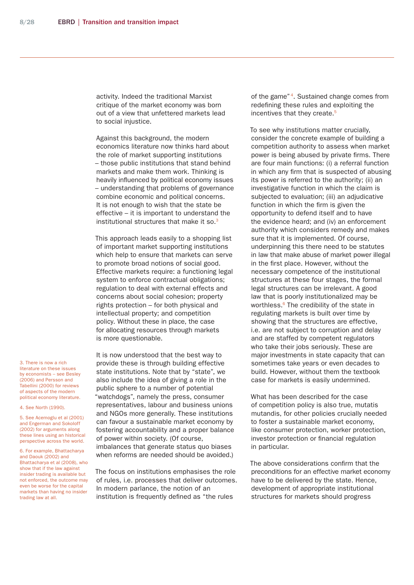activity. Indeed the traditional Marxist critique of the market economy was born out of a view that unfettered markets lead to social injustice.

Against this background, the modern economics literature now thinks hard about the role of market supporting institutions – those public institutions that stand behind markets and make them work. Thinking is heavily influenced by political economy issues – understanding that problems of governance combine economic and political concerns. It is not enough to wish that the state be effective – it is important to understand the institutional structures that make it so.<sup>3</sup>

This approach leads easily to a shopping list of important market supporting institutions which help to ensure that markets can serve to promote broad notions of social good. Effective markets require: a functioning legal system to enforce contractual obligations; regulation to deal with external effects and concerns about social cohesion; property rights protection – for both physical and intellectual property; and competition policy. Without these in place, the case for allocating resources through markets is more questionable.

It is now understood that the best way to provide these is through building effective state institutions. Note that by "state", we also include the idea of giving a role in the public sphere to a number of potential "watchdogs", namely the press, consumer representatives, labour and business unions and NGOs more generally. These institutions can favour a sustainable market economy by fostering accountability and a proper balance of power within society. (Of course, imbalances that generate status quo biases when reforms are needed should be avoided.)

The focus on institutions emphasises the role of rules, i.e. processes that deliver outcomes. In modern parlance, the notion of an institution is frequently defined as "the rules

of the game"<sup>4</sup>. Sustained change comes from redefining these rules and exploiting the incentives that they create.<sup>5</sup>

To see why institutions matter crucially, consider the concrete example of building a competition authority to assess when market power is being abused by private firms. There are four main functions: (i) a referral function in which any firm that is suspected of abusing its power is referred to the authority; (ii) an investigative function in which the claim is subjected to evaluation; (iii) an adjudicative function in which the firm is given the opportunity to defend itself and to have the evidence heard; and (iv) an enforcement authority which considers remedy and makes sure that it is implemented. Of course, underpinning this there need to be statutes in law that make abuse of market power illegal in the first place. However, without the necessary competence of the institutional structures at these four stages, the formal legal structures can be irrelevant. A good law that is poorly institutionalized may be worthless.<sup>6</sup> The credibility of the state in regulating markets is built over time by showing that the structures are effective, i.e. are not subject to corruption and delay and are staffed by competent regulators who take their jobs seriously. These are major investments in state capacity that can sometimes take years or even decades to build. However, without them the textbook case for markets is easily undermined.

What has been described for the case of competition policy is also true, mutatis mutandis, for other policies crucially needed to foster a sustainable market economy, like consumer protection, worker protection, investor protection or financial regulation in particular.

The above considerations confirm that the preconditions for an effective market economy have to be delivered by the state. Hence, development of appropriate institutional structures for markets should progress

3. There is now a rich literature on these issues by economists – see Besley (2006) and Persson and Tabellini (2000) for reviews of aspects of the modern political economy literature.

4. See North (1990).

5. See Acemoglu et al (2001) and Engerman and Sokoloff (2002) for arguments along these lines using an historical perspective across the world.

6. For example, Bhattacharya and Daouk (2002) and Bhattacharya et al (2008), who show that if the law against insider trading is available but not enforced, the outcome may even be worse for the capital markets than having no insider trading law at all.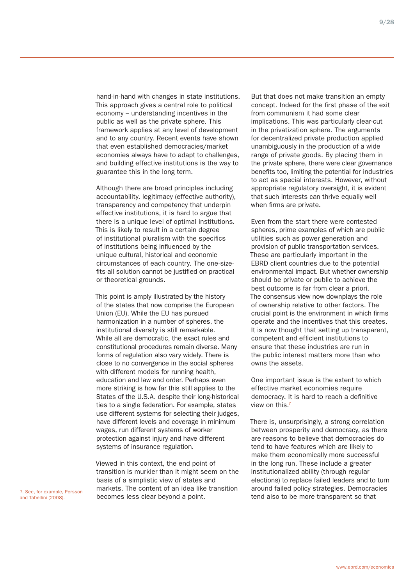9/28

hand-in-hand with changes in state institutions. This approach gives a central role to political economy – understanding incentives in the public as well as the private sphere. This framework applies at any level of development and to any country. Recent events have shown that even established democracies/market economies always have to adapt to challenges, and building effective institutions is the way to guarantee this in the long term.

Although there are broad principles including accountability, legitimacy (effective authority), transparency and competency that underpin effective institutions, it is hard to argue that there is a unique level of optimal institutions. This is likely to result in a certain degree of institutional pluralism with the specifics of institutions being influenced by the unique cultural, historical and economic circumstances of each country. The one-sizefits-all solution cannot be justified on practical or theoretical grounds.

This point is amply illustrated by the history of the states that now comprise the European Union (EU). While the EU has pursued harmonization in a number of spheres, the institutional diversity is still remarkable. While all are democratic, the exact rules and constitutional procedures remain diverse. Many forms of regulation also vary widely. There is close to no convergence in the social spheres with different models for running health, education and law and order. Perhaps even more striking is how far this still applies to the States of the U.S.A. despite their long-historical ties to a single federation. For example, states use different systems for selecting their judges, have different levels and coverage in minimum wages, run different systems of worker protection against injury and have different systems of insurance regulation.

Viewed in this context, the end point of transition is murkier than it might seem on the basis of a simplistic view of states and markets. The content of an idea like transition becomes less clear beyond a point. The content of all the distribution and taled policy strategies. Definition and take the more transparent so that and Tabellini (2008).

But that does not make transition an empty concept. Indeed for the first phase of the exit from communism it had some clear implications. This was particularly clear-cut in the privatization sphere. The arguments for decentralized private production applied unambiguously in the production of a wide range of private goods. By placing them in the private sphere, there were clear governance benefits too, limiting the potential for industries to act as special interests. However, without appropriate regulatory oversight, it is evident that such interests can thrive equally well when firms are private.

Even from the start there were contested spheres, prime examples of which are public utilities such as power generation and provision of public transportation services. These are particularly important in the EBRD client countries due to the potential environmental impact. But whether ownership should be private or public to achieve the best outcome is far from clear a priori. The consensus view now downplays the role of ownership relative to other factors. The crucial point is the environment in which firms operate and the incentives that this creates. It is now thought that setting up transparent, competent and efficient institutions to ensure that these industries are run in the public interest matters more than who owns the assets.

One important issue is the extent to which effective market economies require democracy. It is hard to reach a definitive view on this.7

There is, unsurprisingly, a strong correlation between prosperity and democracy, as there are reasons to believe that democracies do tend to have features which are likely to make them economically more successful in the long run. These include a greater institutionalized ability (through regular elections) to replace failed leaders and to turn around failed policy strategies. Democracies

and Tabellini (2008).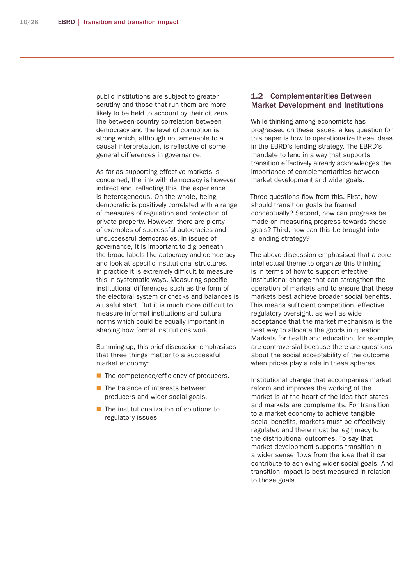public institutions are subject to greater scrutiny and those that run them are more likely to be held to account by their citizens. The between-country correlation between democracy and the level of corruption is strong which, although not amenable to a causal interpretation, is reflective of some general differences in governance.

As far as supporting effective markets is concerned, the link with democracy is however indirect and, reflecting this, the experience is heterogeneous. On the whole, being democratic is positively correlated with a range of measures of regulation and protection of private property. However, there are plenty of examples of successful autocracies and unsuccessful democracies. In issues of governance, it is important to dig beneath the broad labels like autocracy and democracy and look at specific institutional structures. In practice it is extremely difficult to measure this in systematic ways. Measuring specific institutional differences such as the form of the electoral system or checks and balances is a useful start. But it is much more difficult to measure informal institutions and cultural norms which could be equally important in shaping how formal institutions work.

Summing up, this brief discussion emphasises that three things matter to a successful market economy:

- $\blacksquare$  The competence/efficiency of producers.
- $\blacksquare$  The balance of interests between producers and wider social goals.
- $\blacksquare$  The institutionalization of solutions to regulatory issues.

#### 1.2 Complementarities Between Market Development and Institutions

While thinking among economists has progressed on these issues, a key question for this paper is how to operationalize these ideas in the EBRD's lending strategy. The EBRD's mandate to lend in a way that supports transition effectively already acknowledges the importance of complementarities between market development and wider goals.

Three questions flow from this. First, how should transition goals be framed conceptually? Second, how can progress be made on measuring progress towards these goals? Third, how can this be brought into a lending strategy?

The above discussion emphasised that a core intellectual theme to organize this thinking is in terms of how to support effective institutional change that can strengthen the operation of markets and to ensure that these markets best achieve broader social benefits. This means sufficient competition, effective regulatory oversight, as well as wide acceptance that the market mechanism is the best way to allocate the goods in question. Markets for health and education, for example, are controversial because there are questions about the social acceptability of the outcome when prices play a role in these spheres.

Institutional change that accompanies market reform and improves the working of the market is at the heart of the idea that states and markets are complements. For transition to a market economy to achieve tangible social benefits, markets must be effectively regulated and there must be legitimacy to the distributional outcomes. To say that market development supports transition in a wider sense flows from the idea that it can contribute to achieving wider social goals. And transition impact is best measured in relation to those goals.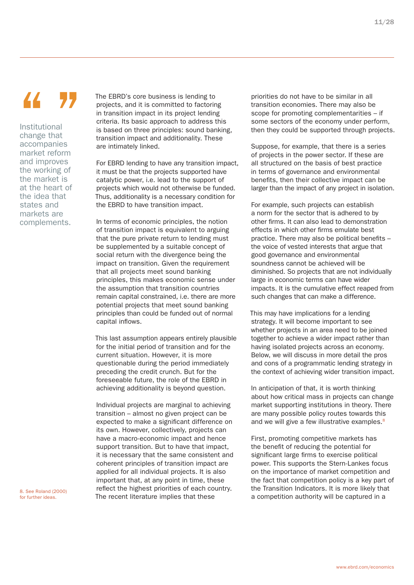### $\overline{\mathcal{L}}$

Institutional change that accompanies market reform and improves the working of the market is at the heart of the idea that states and markets are complements.

The EBRD's core business is lending to projects, and it is committed to factoring in transition impact in its project lending criteria. Its basic approach to address this is based on three principles: sound banking, transition impact and additionality. These are intimately linked.

For EBRD lending to have any transition impact, it must be that the projects supported have catalytic power, i.e. lead to the support of projects which would not otherwise be funded. Thus, additionality is a necessary condition for the EBRD to have transition impact.

In terms of economic principles, the notion of transition impact is equivalent to arguing that the pure private return to lending must be supplemented by a suitable concept of social return with the divergence being the impact on transition. Given the requirement that all projects meet sound banking principles, this makes economic sense under the assumption that transition countries remain capital constrained, i.e. there are more potential projects that meet sound banking principles than could be funded out of normal capital inflows.

This last assumption appears entirely plausible for the initial period of transition and for the current situation. However, it is more questionable during the period immediately preceding the credit crunch. But for the foreseeable future, the role of the EBRD in achieving additionality is beyond question.

Individual projects are marginal to achieving transition – almost no given project can be expected to make a significant difference on its own. However, collectively, projects can have a macro-economic impact and hence support transition. But to have that impact, it is necessary that the same consistent and coherent principles of transition impact are applied for all individual projects. It is also important that, at any point in time, these reflect the highest priorities of each country. The recent literature implies that these

priorities do not have to be similar in all transition economies. There may also be scope for promoting complementarities – if some sectors of the economy under perform, then they could be supported through projects.

Suppose, for example, that there is a series of projects in the power sector. If these are all structured on the basis of best practice in terms of governance and environmental benefits, then their collective impact can be larger than the impact of any project in isolation.

For example, such projects can establish a norm for the sector that is adhered to by other firms. It can also lead to demonstration effects in which other firms emulate best practice. There may also be political benefits – the voice of vested interests that argue that good governance and environmental soundness cannot be achieved will be diminished. So projects that are not individually large in economic terms can have wider impacts. It is the cumulative effect reaped from such changes that can make a difference.

This may have implications for a lending strategy. It will become important to see whether projects in an area need to be joined together to achieve a wider impact rather than having isolated projects across an economy. Below, we will discuss in more detail the pros and cons of a programmatic lending strategy in the context of achieving wider transition impact.

In anticipation of that, it is worth thinking about how critical mass in projects can change market supporting institutions in theory. There are many possible policy routes towards this and we will give a few illustrative examples.<sup>8</sup>

First, promoting competitive markets has the benefit of reducing the potential for significant large firms to exercise political power. This supports the Stern-Lankes focus on the importance of market competition and the fact that competition policy is a key part of the Transition Indicators. It is more likely that a competition authority will be captured in a

8. See Roland (2000) for further ideas.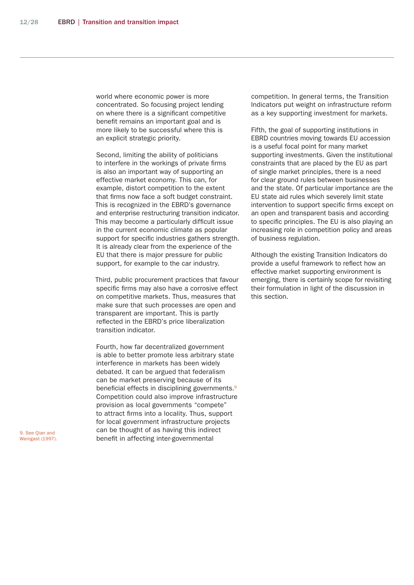world where economic power is more concentrated. So focusing project lending on where there is a significant competitive benefit remains an important goal and is more likely to be successful where this is an explicit strategic priority.

Second, limiting the ability of politicians to interfere in the workings of private firms is also an important way of supporting an effective market economy. This can, for example, distort competition to the extent that firms now face a soft budget constraint. This is recognized in the EBRD's governance and enterprise restructuring transition indicator. This may become a particularly difficult issue in the current economic climate as popular support for specific industries gathers strength. It is already clear from the experience of the EU that there is major pressure for public support, for example to the car industry.

Third, public procurement practices that favour specific firms may also have a corrosive effect on competitive markets. Thus, measures that make sure that such processes are open and transparent are important. This is partly reflected in the EBRD's price liberalization transition indicator.

Fourth, how far decentralized government is able to better promote less arbitrary state interference in markets has been widely debated. It can be argued that federalism can be market preserving because of its beneficial effects in disciplining governments.<sup>9</sup> Competition could also improve infrastructure provision as local governments "compete" to attract firms into a locality. Thus, support for local government infrastructure projects can be thought of as having this indirect benefit in affecting inter-governmental

competition. In general terms, the Transition Indicators put weight on infrastructure reform as a key supporting investment for markets.

Fifth, the goal of supporting institutions in EBRD countries moving towards EU accession is a useful focal point for many market supporting investments. Given the institutional constraints that are placed by the EU as part of single market principles, there is a need for clear ground rules between businesses and the state. Of particular importance are the EU state aid rules which severely limit state intervention to support specific firms except on an open and transparent basis and according to specific principles. The EU is also playing an increasing role in competition policy and areas of business regulation.

Although the existing Transition Indicators do provide a useful framework to reflect how an effective market supporting environment is emerging, there is certainly scope for revisiting their formulation in light of the discussion in this section.

9. See Qian and Weingast (1997).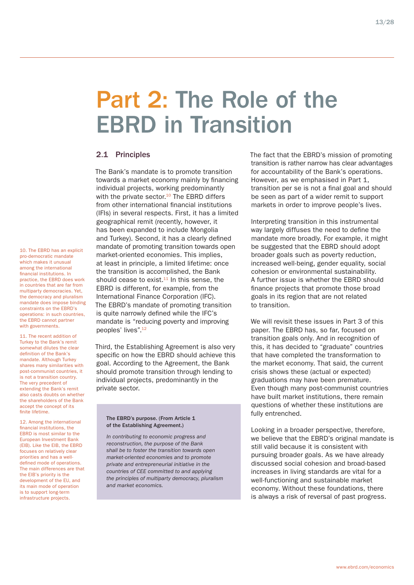### Part 2: The Role of the EBRD in Transition

#### 2.1 Principles

The Bank's mandate is to promote transition towards a market economy mainly by financing individual projects, working predominantly with the private sector. $10$  The EBRD differs from other international financial institutions (IFIs) in several respects. First, it has a limited geographical remit (recently, however, it has been expanded to include Mongolia and Turkey). Second, it has a clearly defined mandate of promoting transition towards open market-oriented economies. This implies, at least in principle, a limited lifetime: once the transition is accomplished, the Bank should cease to exist.<sup>11</sup> In this sense, the EBRD is different, for example, from the International Finance Corporation (IFC). The EBRD's mandate of promoting transition is quite narrowly defined while the IFC's mandate is "reducing poverty and improving peoples' lives".12

Third, the Establishing Agreement is also very specific on how the EBRD should achieve this goal. According to the Agreement, the Bank should promote transition through lending to individual projects, predominantly in the private sector.

#### The EBRD's purpose. (From Article 1 of the Establishing Agreement.)

*In contributing to economic progress and reconstruction, the purpose of the Bank shall be to foster the transition towards open market-oriented economies and to promote private and entrepreneurial initiative in the countries of CEE committed to and applying the principles of multiparty democracy, pluralism and market economics.*

The fact that the EBRD's mission of promoting transition is rather narrow has clear advantages for accountability of the Bank's operations. However, as we emphasised in Part 1, transition per se is not a final goal and should be seen as part of a wider remit to support markets in order to improve people's lives.

Interpreting transition in this instrumental way largely diffuses the need to define the mandate more broadly. For example, it might be suggested that the EBRD should adopt broader goals such as poverty reduction, increased well-being, gender equality, social cohesion or environmental sustainability. A further issue is whether the EBRD should finance projects that promote those broad goals in its region that are not related to transition.

We will revisit these issues in Part 3 of this paper. The EBRD has, so far, focused on transition goals only. And in recognition of this, it has decided to "graduate" countries that have completed the transformation to the market economy. That said, the current crisis shows these (actual or expected) graduations may have been premature. Even though many post-communist countries have built market institutions, there remain questions of whether these institutions are fully entrenched.

Looking in a broader perspective, therefore, we believe that the EBRD's original mandate is still valid because it is consistent with pursuing broader goals. As we have already discussed social cohesion and broad-based increases in living standards are vital for a well-functioning and sustainable market economy. Without these foundations, there is always a risk of reversal of past progress.

10. The EBRD has an explicit pro-democratic mandate which makes it unusual among the international financial institutions. In practice, the EBRD does work in countries that are far from multiparty democracies. Yet, the democracy and pluralism mandate does impose binding constraints on the EBRD's operations: in such countries, the EBRD cannot partner with governments.

11. The recent addition of Turkey to the Bank's remit somewhat dilutes the clear definition of the Bank's mandate. Although Turkey shares many similarities with post-communist countries, it is not a transition country. The very precedent of extending the Bank's remit also casts doubts on whether the shareholders of the Bank accept the concept of its finite lifetime.

12. Among the international financial institutions, the EBRD is most similar to the European Investment Bank (EIB). Like the EIB, the EBRD focuses on relatively clear priorities and has a welldefined mode of operations. The main differences are that the EIB's priority is the development of the EU, and its main mode of operation is to support long-term infrastructure projects.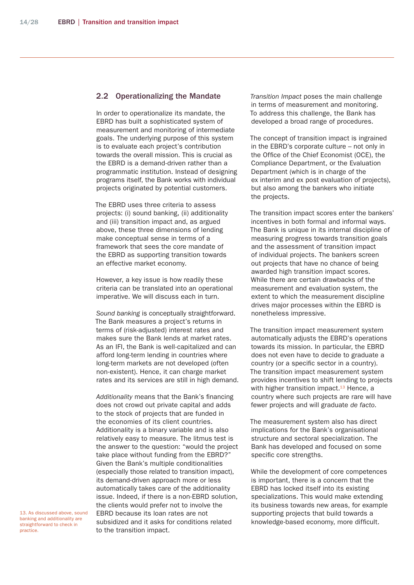#### 2.2 Operationalizing the Mandate

In order to operationalize its mandate, the EBRD has built a sophisticated system of measurement and monitoring of intermediate goals. The underlying purpose of this system is to evaluate each project's contribution towards the overall mission. This is crucial as the EBRD is a demand-driven rather than a programmatic institution. Instead of designing programs itself, the Bank works with individual projects originated by potential customers.

The EBRD uses three criteria to assess projects: (i) sound banking, (ii) additionality and (iii) transition impact and, as argued above, these three dimensions of lending make conceptual sense in terms of a framework that sees the core mandate of the EBRD as supporting transition towards an effective market economy.

However, a key issue is how readily these criteria can be translated into an operational imperative. We will discuss each in turn.

*Sound banking* is conceptually straightforward. The Bank measures a project's returns in terms of (risk-adjusted) interest rates and makes sure the Bank lends at market rates. As an IFI, the Bank is well-capitalized and can afford long-term lending in countries where long-term markets are not developed (often non-existent). Hence, it can charge market rates and its services are still in high demand.

*Additionality* means that the Bank's financing does not crowd out private capital and adds to the stock of projects that are funded in the economies of its client countries. Additionality is a binary variable and is also relatively easy to measure. The litmus test is the answer to the question: "would the project take place without funding from the EBRD?" Given the Bank's multiple conditionalities (especially those related to transition impact), its demand-driven approach more or less automatically takes care of the additionality issue. Indeed, if there is a non-EBRD solution, the clients would prefer not to involve the EBRD because its loan rates are not subsidized and it asks for conditions related to the transition impact.

*Transition Impact* poses the main challenge in terms of measurement and monitoring. To address this challenge, the Bank has developed a broad range of procedures.

The concept of transition impact is ingrained in the EBRD's corporate culture – not only in the Office of the Chief Economist (OCE), the Compliance Department, or the Evaluation Department (which is in charge of the ex interim and ex post evaluation of projects), but also among the bankers who initiate the projects.

The transition impact scores enter the bankers' incentives in both formal and informal ways. The Bank is unique in its internal discipline of measuring progress towards transition goals and the assessment of transition impact of individual projects. The bankers screen out projects that have no chance of being awarded high transition impact scores. While there are certain drawbacks of the measurement and evaluation system, the extent to which the measurement discipline drives major processes within the EBRD is nonetheless impressive.

The transition impact measurement system automatically adjusts the EBRD's operations towards its mission. In particular, the EBRD does not even have to decide to graduate a country (or a specific sector in a country). The transition impact measurement system provides incentives to shift lending to projects with higher transition impact. $13$  Hence, a country where such projects are rare will have fewer projects and will graduate *de facto*.

The measurement system also has direct implications for the Bank's organisational structure and sectoral specialization. The Bank has developed and focused on some specific core strengths.

While the development of core competences is important, there is a concern that the EBRD has locked itself into its existing specializations. This would make extending its business towards new areas, for example supporting projects that build towards a knowledge-based economy, more difficult.

13. As discussed above, sound banking and additionality are straightforward to check in practice.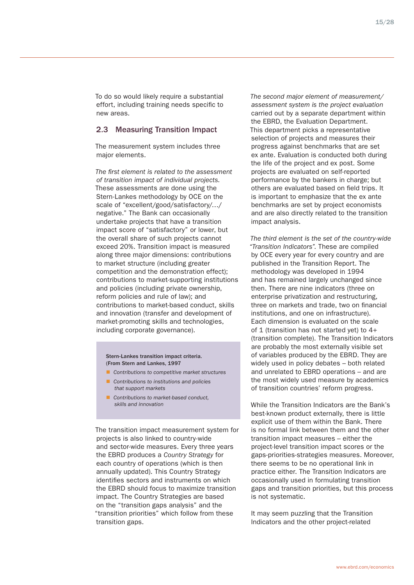To do so would likely require a substantial effort, including training needs specific to new areas.

#### 2.3 Measuring Transition Impact

The measurement system includes three major elements.

*The first element is related to the assessment of transition impact of individual projects.* These assessments are done using the Stern-Lankes methodology by OCE on the scale of "excellent/good/satisfactory/…/ negative." The Bank can occasionally undertake projects that have a transition impact score of "satisfactory" or lower, but the overall share of such projects cannot exceed 20%. Transition impact is measured along three major dimensions: contributions to market structure (including greater competition and the demonstration effect); contributions to market-supporting institutions and policies (including private ownership, reform policies and rule of law); and contributions to market-based conduct, skills and innovation (transfer and development of market-promoting skills and technologies, including corporate governance).

#### Stern-Lankes transition impact criteria. (From Stern and Lankes, 1997

- *Contributions to competitive market structures*
- *Contributions to institutions and policies that support markets*
- *Contributions to market-based conduct, skills and innovation*

The transition impact measurement system for projects is also linked to country-wide and sector-wide measures. Every three years the EBRD produces a *Country Strategy* for each country of operations (which is then annually updated). This Country Strategy identifies sectors and instruments on which the EBRD should focus to maximize transition impact. The Country Strategies are based on the "transition gaps analysis" and the "transition priorities" which follow from these transition gaps.

*The second major element of measurement/ assessment system is the project evaluation* carried out by a separate department within the EBRD, the Evaluation Department. This department picks a representative selection of projects and measures their progress against benchmarks that are set ex ante. Evaluation is conducted both during the life of the project and ex post. Some projects are evaluated on self-reported performance by the bankers in charge; but others are evaluated based on field trips. It is important to emphasize that the ex ante benchmarks are set by project economists and are also directly related to the transition impact analysis.

*The third element is the set of the country-wide "Transition Indicators".* These are compiled by OCE every year for every country and are published in the Transition Report. The methodology was developed in 1994 and has remained largely unchanged since then. There are nine indicators (three on enterprise privatization and restructuring, three on markets and trade, two on financial institutions, and one on infrastructure). Each dimension is evaluated on the scale of 1 (transition has not started yet) to 4+ (transition complete). The Transition Indicators are probably the most externally visible set of variables produced by the EBRD. They are widely used in policy debates – both related and unrelated to EBRD operations – and are the most widely used measure by academics of transition countries' reform progress.

While the Transition Indicators are the Bank's best-known product externally, there is little explicit use of them within the Bank. There is no formal link between them and the other transition impact measures – either the project-level transition impact scores or the gaps-priorities-strategies measures. Moreover, there seems to be no operational link in practice either. The Transition Indicators are occasionally used in formulating transition gaps and transition priorities, but this process is not systematic.

It may seem puzzling that the Transition Indicators and the other project-related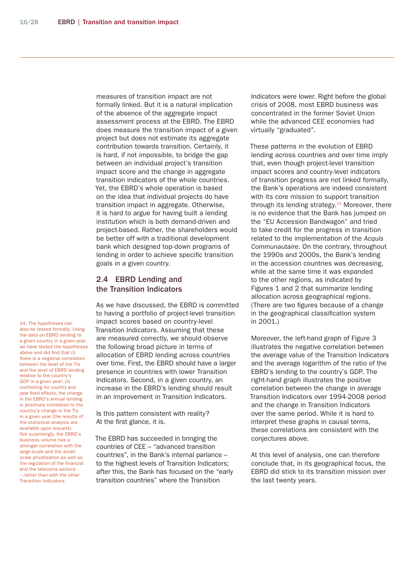measures of transition impact are not formally linked. But it is a natural implication of the absence of the aggregate impact assessment process at the EBRD. The EBRD does measure the transition impact of a given project but does not estimate its aggregate contribution towards transition. Certainly, it is hard, if not impossible, to bridge the gap between an individual project's transition impact score and the change in aggregate transition indicators of the whole countries. Yet, the EBRD's whole operation is based on the idea that individual projects do have transition impact in aggregate. Otherwise, it is hard to argue for having built a lending institution which is both demand-driven and project-based. Rather, the shareholders would be better off with a traditional development bank which designed top-down programs of lending in order to achieve specific transition goals in a given country.

### 2.4 EBRD Lending and the Transition Indicators

As we have discussed, the EBRD is committed to having a portfolio of project-level transition impact scores based on country-level Transition Indicators. Assuming that these are measured correctly, we should observe the following broad picture in terms of allocation of EBRD lending across countries over time. First, the EBRD should have a larger presence in countries with lower Transition Indicators. Second, in a given country, an increase in the EBRD's lending should result in an improvement in Transition Indicators.

Is this pattern consistent with reality? At the first glance, it is.

The EBRD has succeeded in bringing the countries of CEE – "advanced transition countries", in the Bank's internal parlance – to the highest levels of Transition Indicators; after this, the Bank has focused on the "early transition countries" where the Transition

Indicators were lower. Right before the global crisis of 2008, most EBRD business was concentrated in the former Soviet Union while the advanced CEE economies had virtually "graduated".

These patterns in the evolution of EBRD lending across countries and over time imply that, even though project-level transition impact scores and country-level indicators of transition progress are not linked formally, the Bank's operations are indeed consistent with its core mission to support transition through its lending strategy. $14$  Moreover, there is no evidence that the Bank has jumped on the "EU Accession Bandwagon" and tried to take credit for the progress in transition related to the implementation of the *Acquis Communautaire*. On the contrary, throughout the 1990s and 2000s, the Bank's lending in the accession countries was decreasing, while at the same time it was expanded to the other regions, as indicated by Figures 1 and 2 that summarize lending allocation across geographical regions. (There are two figures because of a change in the geographical classification system in 2001.)

Moreover, the left-hand graph of Figure 3 illustrates the negative correlation between the average value of the Transition Indicators and the average logarithm of the ratio of the EBRD's lending to the country's GDP. The right-hand graph illustrates the positive correlation between the change in average Transition Indicators over 1994-2008 period and the change in Transition Indicators over the same period. While it is hard to interpret these graphs in causal terms, these correlations are consistent with the conjectures above.

At this level of analysis, one can therefore conclude that, in its geographical focus, the EBRD did stick to its transition mission over the last twenty years.

14. The hypotheses can also be tested formally. Using the data on EBRD lending to a given country in a given year, we have tested the hypotheses above and did find that (i) there is a negative correlation between the level of the TIs and the level of EBRD lending relative to the country's GDP in a given year; (ii) controlling for country and year fixed effects, the change in the EBRD's annual lending is positively correlated to the country's change in the TIs in a given year (the results of the statistical analysis are available upon request). Not surprisingly, the EBRD's business volume has a stronger correlation with the large-scale and the smallscale privatization as well as the regulation of the financial and the telecoms sectors – rather than with the other Transition Indicators.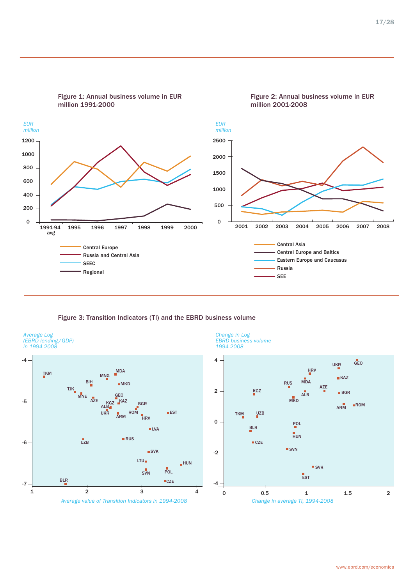

Figure 3: Transition Indicators (TI) and the EBRD business volume





*Change in Log* 

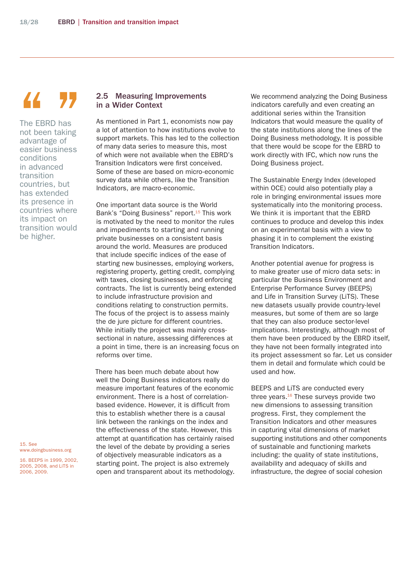### $\mathcal{L}$

The EBRD has not been taking advantage of easier business conditions in advanced transition countries, but has extended its presence in countries where its impact on transition would be higher.

15. See www.doingbusiness.org

16. BEEPS in 1999, 2002, 2005, 2008, and LiTS in 2006, 2009.

#### 2.5 Measuring Improvements in a Wider Context

As mentioned in Part 1, economists now pay a lot of attention to how institutions evolve to support markets. This has led to the collection of many data series to measure this, most of which were not available when the EBRD's Transition Indicators were first conceived. Some of these are based on micro-economic survey data while others, like the Transition Indicators, are macro-economic.

One important data source is the World Bank's "Doing Business" report.<sup>15</sup> This work is motivated by the need to monitor the rules and impediments to starting and running private businesses on a consistent basis around the world. Measures are produced that include specific indices of the ease of starting new businesses, employing workers, registering property, getting credit, complying with taxes, closing businesses, and enforcing contracts. The list is currently being extended to include infrastructure provision and conditions relating to construction permits. The focus of the project is to assess mainly the de jure picture for different countries. While initially the project was mainly crosssectional in nature, assessing differences at a point in time, there is an increasing focus on reforms over time.

There has been much debate about how well the Doing Business indicators really do measure important features of the economic environment. There is a host of correlationbased evidence. However, it is difficult from this to establish whether there is a causal link between the rankings on the index and the effectiveness of the state. However, this attempt at quantification has certainly raised the level of the debate by providing a series of objectively measurable indicators as a starting point. The project is also extremely open and transparent about its methodology. We recommend analyzing the Doing Business indicators carefully and even creating an additional series within the Transition Indicators that would measure the quality of the state institutions along the lines of the Doing Business methodology. It is possible that there would be scope for the EBRD to work directly with IFC, which now runs the Doing Business project.

The Sustainable Energy Index (developed within OCE) could also potentially play a role in bringing environmental issues more systematically into the monitoring process. We think it is important that the EBRD continues to produce and develop this index on an experimental basis with a view to phasing it in to complement the existing Transition Indicators.

Another potential avenue for progress is to make greater use of micro data sets: in particular the Business Environment and Enterprise Performance Survey (BEEPS) and Life in Transition Survey (LiTS). These new datasets usually provide country-level measures, but some of them are so large that they can also produce sector-level implications. Interestingly, although most of them have been produced by the EBRD itself, they have not been formally integrated into its project assessment so far. Let us consider them in detail and formulate which could be used and how.

BEEPS and LiTS are conducted every three years. $16$  These surveys provide two new dimensions to assessing transition progress. First, they complement the Transition Indicators and other measures in capturing vital dimensions of market supporting institutions and other components of sustainable and functioning markets including: the quality of state institutions, availability and adequacy of skills and infrastructure, the degree of social cohesion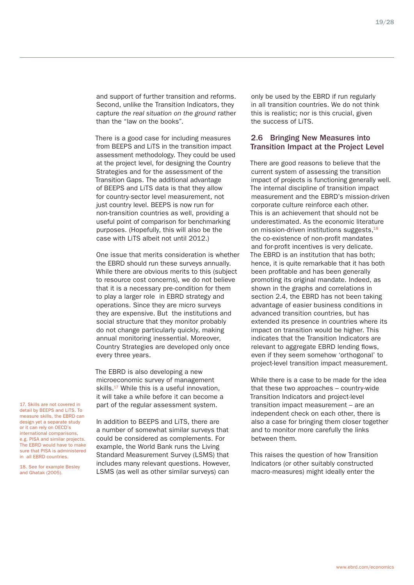19/28

and support of further transition and reforms. Second, unlike the Transition Indicators, they capture *the real situation on the ground* rather than the "law on the books".

There is a good case for including measures from BEEPS and LiTS in the transition impact assessment methodology. They could be used at the project level, for designing the Country Strategies and for the assessment of the Transition Gaps. The additional advantage of BEEPS and LiTS data is that they allow for country-sector level measurement, not just country level. BEEPS is now run for non-transition countries as well, providing a useful point of comparison for benchmarking purposes. (Hopefully, this will also be the case with LiTS albeit not until 2012.)

One issue that merits consideration is whether the EBRD should run these surveys annually. While there are obvious merits to this (subject to resource cost concerns), we do not believe that it is a necessary pre-condition for them to play a larger role in EBRD strategy and operations. Since they are micro surveys they are expensive. But the institutions and social structure that they monitor probably do not change particularly quickly, making annual monitoring inessential. Moreover, Country Strategies are developed only once every three years.

The EBRD is also developing a new microeconomic survey of management skills.<sup>17</sup> While this is a useful innovation. it will take a while before it can become a part of the regular assessment system.

17. Skills are not covered in detail by BEEPS and LiTS. To measure skills, the EBRD can design yet a separate study or it can rely on OECD's international comparisons, e.g. PISA and similar projects. The EBRD would have to make sure that PISA is administered in all EBRD countries.

18. See for example Besley and Ghatak (2005).

In addition to BEEPS and LiTS, there are a number of somewhat similar surveys that could be considered as complements. For example, the World Bank runs the Living Standard Measurement Survey (LSMS) that includes many relevant questions. However, LSMS (as well as other similar surveys) can

only be used by the EBRD if run regularly in all transition countries. We do not think this is realistic; nor is this crucial, given the success of LiTS.

#### 2.6 Bringing New Measures into Transition Impact at the Project Level

There are good reasons to believe that the current system of assessing the transition impact of projects is functioning generally well. The internal discipline of transition impact measurement and the EBRD's mission-driven corporate culture reinforce each other. This is an achievement that should not be underestimated. As the economic literature on mission-driven institutions suggests, $^{18}$ the co-existence of non-profit mandates and for-profit incentives is very delicate. The EBRD is an institution that has both; hence, it is quite remarkable that it has both been profitable and has been generally promoting its original mandate. Indeed, as shown in the graphs and correlations in section 2.4, the EBRD has not been taking advantage of easier business conditions in advanced transition countries, but has extended its presence in countries where its impact on transition would be higher. This indicates that the Transition Indicators are relevant to aggregate EBRD lending flows, even if they seem somehow 'orthogonal' to project-level transition impact measurement.

While there is a case to be made for the idea that these two approaches – country-wide Transition Indicators and project-level transition impact measurement – are an independent check on each other, there is also a case for bringing them closer together and to monitor more carefully the links between them.

This raises the question of how Transition Indicators (or other suitably constructed macro-measures) might ideally enter the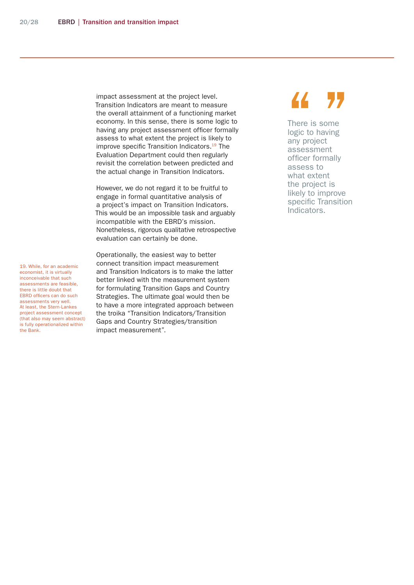impact assessment at the project level. Transition Indicators are meant to measure the overall attainment of a functioning market economy. In this sense, there is some logic to having any project assessment officer formally assess to what extent the project is likely to improve specific Transition Indicators.<sup>19</sup> The Evaluation Department could then regularly revisit the correlation between predicted and the actual change in Transition Indicators.

However, we do not regard it to be fruitful to engage in formal quantitative analysis of a project's impact on Transition Indicators. This would be an impossible task and arguably incompatible with the EBRD's mission. Nonetheless, rigorous qualitative retrospective evaluation can certainly be done.

Operationally, the easiest way to better connect transition impact measurement and Transition Indicators is to make the latter better linked with the measurement system for formulating Transition Gaps and Country Strategies. The ultimate goal would then be to have a more integrated approach between the troika "Transition Indicators/Transition Gaps and Country Strategies/transition impact measurement".

There is some logic to having any project assessment officer formally assess to what extent the project is likely to improve specific Transition Indicators. There is some<br>
logic to having<br>
any project<br>
assessment

19. While, for an academic economist, it is virtually inconceivable that such assessments are feasible, there is little doubt that EBRD officers can do such assessments very well. At least, the Stern-Lankes project assessment concept (that also may seem abstract) is fully operationalized within the Bank.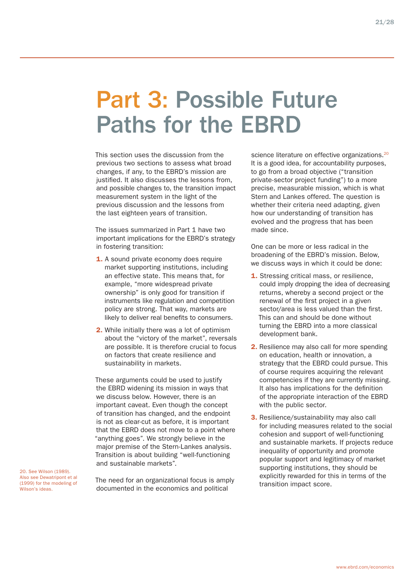### Part 3: Possible Future Paths for the EBRD

This section uses the discussion from the previous two sections to assess what broad changes, if any, to the EBRD's mission are justified. It also discusses the lessons from, and possible changes to, the transition impact measurement system in the light of the previous discussion and the lessons from the last eighteen years of transition.

The issues summarized in Part 1 have two important implications for the EBRD's strategy in fostering transition:

- 1. A sound private economy does require market supporting institutions, including an effective state. This means that, for example, "more widespread private ownership" is only good for transition if instruments like regulation and competition policy are strong. That way, markets are likely to deliver real benefits to consumers.
- 2. While initially there was a lot of optimism about the "victory of the market", reversals are possible. It is therefore crucial to focus on factors that create resilience and sustainability in markets.

These arguments could be used to justify the EBRD widening its mission in ways that we discuss below. However, there is an important caveat. Even though the concept of transition has changed, and the endpoint is not as clear-cut as before, it is important that the EBRD does not move to a point where "anything goes". We strongly believe in the major premise of the Stern-Lankes analysis. Transition is about building "well-functioning and sustainable markets".

The need for an organizational focus is amply documented in the economics and political

20. See Wilson (1989). Also see Dewatripont et al (1999) for the modeling of Wilson's ideas.

science literature on effective organizations.<sup>20</sup> It is a good idea, for accountability purposes, to go from a broad objective ("transition private-sector project funding") to a more precise, measurable mission, which is what Stern and Lankes offered. The question is whether their criteria need adapting, given how our understanding of transition has evolved and the progress that has been made since.

One can be more or less radical in the broadening of the EBRD's mission. Below, we discuss ways in which it could be done:

- **1.** Stressing critical mass, or resilience, could imply dropping the idea of decreasing returns, whereby a second project or the renewal of the first project in a given sector/area is less valued than the first. This can and should be done without turning the EBRD into a more classical development bank.
- 2. Resilience may also call for more spending on education, health or innovation, a strategy that the EBRD could pursue. This of course requires acquiring the relevant competencies if they are currently missing. It also has implications for the definition of the appropriate interaction of the EBRD with the public sector.
- **3.** Resilience/sustainability may also call for including measures related to the social cohesion and support of well-functioning and sustainable markets. If projects reduce inequality of opportunity and promote popular support and legitimacy of market supporting institutions, they should be explicitly rewarded for this in terms of the transition impact score.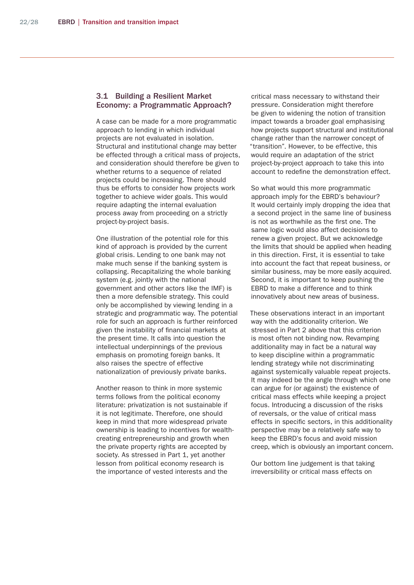#### 3.1 Building a Resilient Market Economy: a Programmatic Approach?

A case can be made for a more programmatic approach to lending in which individual projects are not evaluated in isolation. Structural and institutional change may better be effected through a critical mass of projects, and consideration should therefore be given to whether returns to a sequence of related projects could be increasing. There should thus be efforts to consider how projects work together to achieve wider goals. This would require adapting the internal evaluation process away from proceeding on a strictly project-by-project basis.

One illustration of the potential role for this kind of approach is provided by the current global crisis. Lending to one bank may not make much sense if the banking system is collapsing. Recapitalizing the whole banking system (e.g. jointly with the national government and other actors like the IMF) is then a more defensible strategy. This could only be accomplished by viewing lending in a strategic and programmatic way. The potential role for such an approach is further reinforced given the instability of financial markets at the present time. It calls into question the intellectual underpinnings of the previous emphasis on promoting foreign banks. It also raises the spectre of effective nationalization of previously private banks.

Another reason to think in more systemic terms follows from the political economy literature: privatization is not sustainable if it is not legitimate. Therefore, one should keep in mind that more widespread private ownership is leading to incentives for wealthcreating entrepreneurship and growth when the private property rights are accepted by society. As stressed in Part 1, yet another lesson from political economy research is the importance of vested interests and the

critical mass necessary to withstand their pressure. Consideration might therefore be given to widening the notion of transition impact towards a broader goal emphasising how projects support structural and institutional change rather than the narrower concept of "transition". However, to be effective, this would require an adaptation of the strict project-by-project approach to take this into account to redefine the demonstration effect.

So what would this more programmatic approach imply for the EBRD's behaviour? It would certainly imply dropping the idea that a second project in the same line of business is not as worthwhile as the first one. The same logic would also affect decisions to renew a given project. But we acknowledge the limits that should be applied when heading in this direction. First, it is essential to take into account the fact that repeat business, or similar business, may be more easily acquired. Second, it is important to keep pushing the EBRD to make a difference and to think innovatively about new areas of business.

These observations interact in an important way with the additionality criterion. We stressed in Part 2 above that this criterion is most often not binding now. Revamping additionality may in fact be a natural way to keep discipline within a programmatic lending strategy while not discriminating against systemically valuable repeat projects. It may indeed be the angle through which one can argue for (or against) the existence of critical mass effects while keeping a project focus. Introducing a discussion of the risks of reversals, or the value of critical mass effects in specific sectors, in this additionality perspective may be a relatively safe way to keep the EBRD's focus and avoid mission creep, which is obviously an important concern.

Our bottom line judgement is that taking irreversibility or critical mass effects on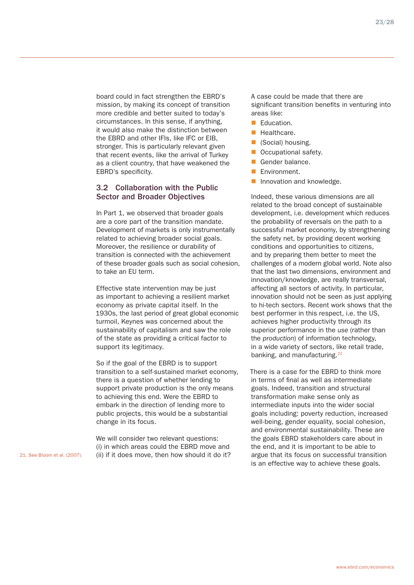board could in fact strengthen the EBRD's mission, by making its concept of transition more credible and better suited to today's circumstances. In this sense, if anything, it would also make the distinction between the EBRD and other IFIs, like IFC or EIB, stronger. This is particularly relevant given that recent events, like the arrival of Turkey as a client country, that have weakened the EBRD's specificity.

#### 3.2 Collaboration with the Public Sector and Broader Objectives

In Part 1, we observed that broader goals are a core part of the transition mandate. Development of markets is only instrumentally related to achieving broader social goals. Moreover, the resilience or durability of transition is connected with the achievement of these broader goals such as social cohesion, to take an EU term.

Effective state intervention may be just as important to achieving a resilient market economy as private capital itself. In the 1930s, the last period of great global economic turmoil, Keynes was concerned about the sustainability of capitalism and saw the role of the state as providing a critical factor to support its legitimacy.

So if the goal of the EBRD is to support transition to a self-sustained market economy, there is a question of whether lending to support private production is the only means to achieving this end. Were the EBRD to embark in the direction of lending more to public projects, this would be a substantial change in its focus.

We will consider two relevant questions: (i) in which areas could the EBRD move and (ii) if it does move, then how should it do it? A case could be made that there are significant transition benefits in venturing into areas like:

- Education.
- Healthcare.
- **Calcular** (Social) housing.
- Occupational safety.
- Gender balance.
- Environment.
- **Innovation and knowledge.**

Indeed, these various dimensions are all related to the broad concept of sustainable development, i.e. development which reduces the probability of reversals on the path to a successful market economy, by strengthening the safety net, by providing decent working conditions and opportunities to citizens, and by preparing them better to meet the challenges of a modern global world. Note also that the last two dimensions, environment and innovation/knowledge, are really transversal, affecting all sectors of activity. In particular, innovation should not be seen as just applying to hi-tech sectors. Recent work shows that the best performer in this respect, i.e. the US, achieves higher productivity through its superior performance in the *use* (rather than the *production*) of information technology, in a wide variety of sectors, like retail trade, banking, and manufacturing. $21$ 

There is a case for the EBRD to think more in terms of final as well as intermediate goals. Indeed, transition and structural transformation make sense only as intermediate inputs into the wider social goals including: poverty reduction, increased well-being, gender equality, social cohesion, and environmental sustainability. These are the goals EBRD stakeholders care about in the end, and it is important to be able to argue that its focus on successful transition is an effective way to achieve these goals.

21. See Bloom et al. (2007).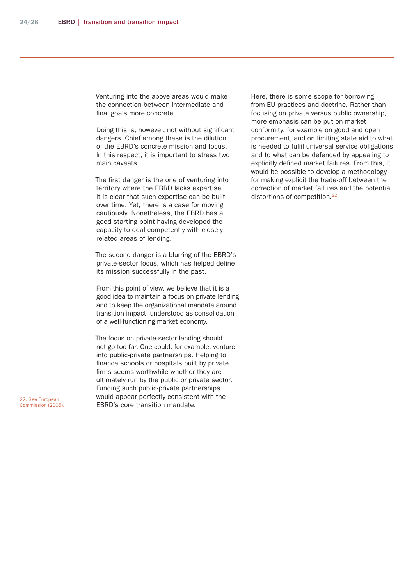Venturing into the above areas would make the connection between intermediate and final goals more concrete.

Doing this is, however, not without significant dangers. Chief among these is the dilution of the EBRD's concrete mission and focus. In this respect, it is important to stress two main caveats.

The first danger is the one of venturing into territory where the EBRD lacks expertise. It is clear that such expertise can be built over time. Yet, there is a case for moving cautiously. Nonetheless, the EBRD has a good starting point having developed the capacity to deal competently with closely related areas of lending.

The second danger is a blurring of the EBRD's private-sector focus, which has helped define its mission successfully in the past.

From this point of view, we believe that it is a good idea to maintain a focus on private lending and to keep the organizational mandate around transition impact, understood as consolidation of a well-functioning market economy.

The focus on private-sector lending should not go too far. One could, for example, venture into public-private partnerships. Helping to finance schools or hospitals built by private firms seems worthwhile whether they are ultimately run by the public or private sector. Funding such public-private partnerships would appear perfectly consistent with the EBRD's core transition mandate.

Here, there is some scope for borrowing from EU practices and doctrine. Rather than focusing on private versus public ownership, more emphasis can be put on market conformity, for example on good and open procurement, and on limiting state aid to what is needed to fulfil universal service obligations and to what can be defended by appealing to explicitly defined market failures. From this, it would be possible to develop a methodology for making explicit the trade-off between the correction of market failures and the potential distortions of competition.<sup>22</sup>

22. See European Commission (2005).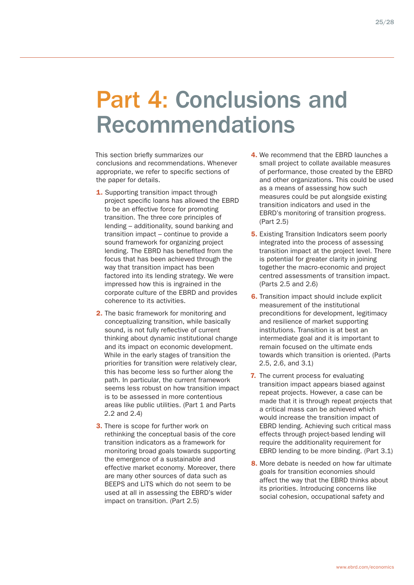### Part 4: Conclusions and Recommendations

This section briefly summarizes our conclusions and recommendations. Whenever appropriate, we refer to specific sections of the paper for details.

- 1. Supporting transition impact through project specific loans has allowed the EBRD to be an effective force for promoting transition. The three core principles of lending – additionality, sound banking and transition impact – continue to provide a sound framework for organizing project lending. The EBRD has benefited from the focus that has been achieved through the way that transition impact has been factored into its lending strategy. We were impressed how this is ingrained in the corporate culture of the EBRD and provides coherence to its activities.
- 2. The basic framework for monitoring and conceptualizing transition, while basically sound, is not fully reflective of current thinking about dynamic institutional change and its impact on economic development. While in the early stages of transition the priorities for transition were relatively clear, this has become less so further along the path. In particular, the current framework seems less robust on how transition impact is to be assessed in more contentious areas like public utilities. (Part 1 and Parts 2.2 and 2.4)
- **3.** There is scope for further work on rethinking the conceptual basis of the core transition indicators as a framework for monitoring broad goals towards supporting the emergence of a sustainable and effective market economy. Moreover, there are many other sources of data such as BEEPS and LiTS which do not seem to be used at all in assessing the EBRD's wider impact on transition. (Part 2.5)
- 4. We recommend that the EBRD launches a small project to collate available measures of performance, those created by the EBRD and other organizations. This could be used as a means of assessing how such measures could be put alongside existing transition indicators and used in the EBRD's monitoring of transition progress. (Part 2.5)
- **5.** Existing Transition Indicators seem poorly integrated into the process of assessing transition impact at the project level. There is potential for greater clarity in joining together the macro-economic and project centred assessments of transition impact. (Parts 2.5 and 2.6)
- **6.** Transition impact should include explicit measurement of the institutional preconditions for development, legitimacy and resilience of market supporting institutions. Transition is at best an intermediate goal and it is important to remain focused on the ultimate ends towards which transition is oriented. (Parts 2.5, 2.6, and 3.1)
- 7. The current process for evaluating transition impact appears biased against repeat projects. However, a case can be made that it is through repeat projects that a critical mass can be achieved which would increase the transition impact of EBRD lending. Achieving such critical mass effects through project-based lending will require the additionality requirement for EBRD lending to be more binding. (Part 3.1)
- 8. More debate is needed on how far ultimate goals for transition economies should affect the way that the EBRD thinks about its priorities. Introducing concerns like social cohesion, occupational safety and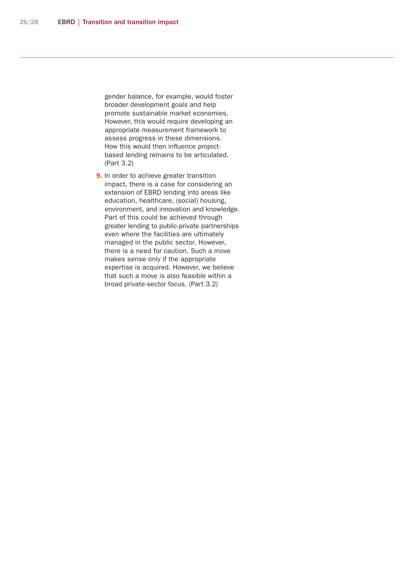gender balance, for example, would foster broader development goals and help promote sustainable market economies. However, this would require developing an appropriate measurement framework to assess progress in these dimensions. How this would then influence projectbased lending remains to be articulated. (Part 3.2)

**9.** In order to achieve greater transition impact, there is a case for considering an extension of EBRD lending into areas like education, healthcare, (social) housing, environment, and innovation and knowledge. Part of this could be achieved through greater lending to public-private partnerships even where the facilities are ultimately managed in the public sector. However, there is a need for caution. Such a move makes sense only if the appropriate expertise is acquired. However, we believe that such a move is also feasible within a broad private-sector focus. (Part 3.2)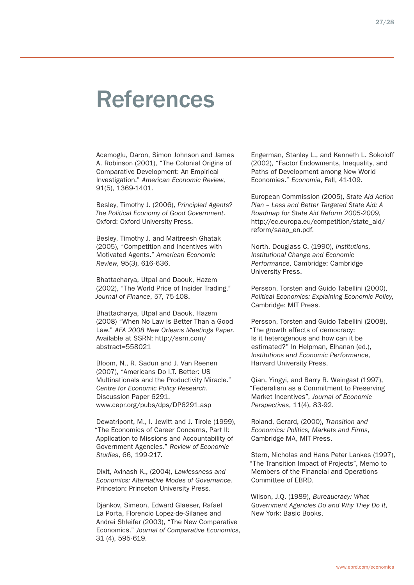### References

Acemoglu, Daron, Simon Johnson and James A. Robinson (2001), "The Colonial Origins of Comparative Development: An Empirical Investigation." *American Economic Review*, 91(5), 1369-1401.

Besley, Timothy J. (2006), *Principled Agents? The Political Economy of Good Government*. Oxford: Oxford University Press.

Besley, Timothy J. and Maitreesh Ghatak (2005), "Competition and Incentives with Motivated Agents." *American Economic Review*, 95(3), 616-636.

Bhattacharya, Utpal and Daouk, Hazem (2002), "The World Price of Insider Trading." *Journal of Finance*, 57, 75-108.

Bhattacharya, Utpal and Daouk, Hazem (2008) "When No Law is Better Than a Good Law." *AFA 2008 New Orleans Meetings Paper*. Available at SSRN: http://ssrn.com/ abstract=558021

Bloom, N., R. Sadun and J. Van Reenen (2007), "Americans Do I.T. Better: US Multinationals and the Productivity Miracle." *Centre for Economic Policy Research*. Discussion Paper 6291. www.cepr.org/pubs/dps/DP6291.asp

Dewatripont, M., I. Jewitt and J. Tirole (1999), "The Economics of Career Concerns, Part II: Application to Missions and Accountability of Government Agencies." *Review of Economic Studies*, 66, 199-217.

Dixit, Avinash K., (2004), *Lawlessness and Economics: Alternative Modes of Governance*. Princeton: Princeton University Press.

Djankov, Simeon, Edward Glaeser, Rafael La Porta, Florencio Lopez-de-Silanes and Andrei Shleifer (2003), "The New Comparative Economics." *Journal of Comparative Economics*, 31 (4), 595-619.

Engerman, Stanley L., and Kenneth L. Sokoloff (2002), "Factor Endowments, Inequality, and Paths of Development among New World Economies." *Economia*, Fall, 41-109.

European Commission (2005), *State Aid Action Plan – Less and Better Targeted State Aid: A Roadmap for State Aid Reform 2005-2009*, http://ec.europa.eu/competition/state\_aid/ reform/saap\_en.pdf.

North, Douglass C. (1990), *Institutions, Institutional Change and Economic Performance*, Cambridge: Cambridge University Press.

Persson, Torsten and Guido Tabellini (2000), *Political Economics: Explaining Economic Policy*, Cambridge: MIT Press.

Persson, Torsten and Guido Tabellini (2008), "The growth effects of democracy: Is it heterogenous and how can it be estimated?" In Helpman, Elhanan (ed.), *Institutions and Economic Performance*, Harvard University Press.

Qian, Yingyi, and Barry R. Weingast (1997), "Federalism as a Commitment to Preserving Market Incentives", *Journal of Economic Perspectives*, 11(4), 83-92.

Roland, Gerard, (2000), *Transition and Economics: Politics, Markets and Firms*, Cambridge MA, MIT Press.

Stern, Nicholas and Hans Peter Lankes (1997), "The Transition Impact of Projects", Memo to Members of the Financial and Operations Committee of EBRD.

Wilson, J.Q. (1989), *Bureaucracy: What Government Agencies Do and Why They Do It*, New York: Basic Books.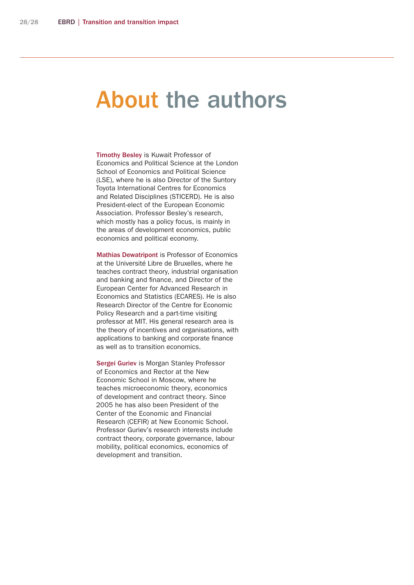### About the authors

Timothy Besley is Kuwait Professor of Economics and Political Science at the London School of Economics and Political Science (LSE), where he is also Director of the Suntory Toyota International Centres for Economics and Related Disciplines (STICERD). He is also President-elect of the European Economic Association. Professor Besley's research, which mostly has a policy focus, is mainly in the areas of development economics, public economics and political economy.

Mathias Dewatripont is Professor of Economics at the Université Libre de Bruxelles, where he teaches contract theory, industrial organisation and banking and finance, and Director of the European Center for Advanced Research in Economics and Statistics (ECARES). He is also Research Director of the Centre for Economic Policy Research and a part-time visiting professor at MIT. His general research area is the theory of incentives and organisations, with applications to banking and corporate finance as well as to transition economics.

Sergei Guriev is Morgan Stanley Professor of Economics and Rector at the New Economic School in Moscow, where he teaches microeconomic theory, economics of development and contract theory. Since 2005 he has also been President of the Center of the Economic and Financial Research (CEFIR) at New Economic School. Professor Guriev's research interests include contract theory, corporate governance, labour mobility, political economics, economics of development and transition.